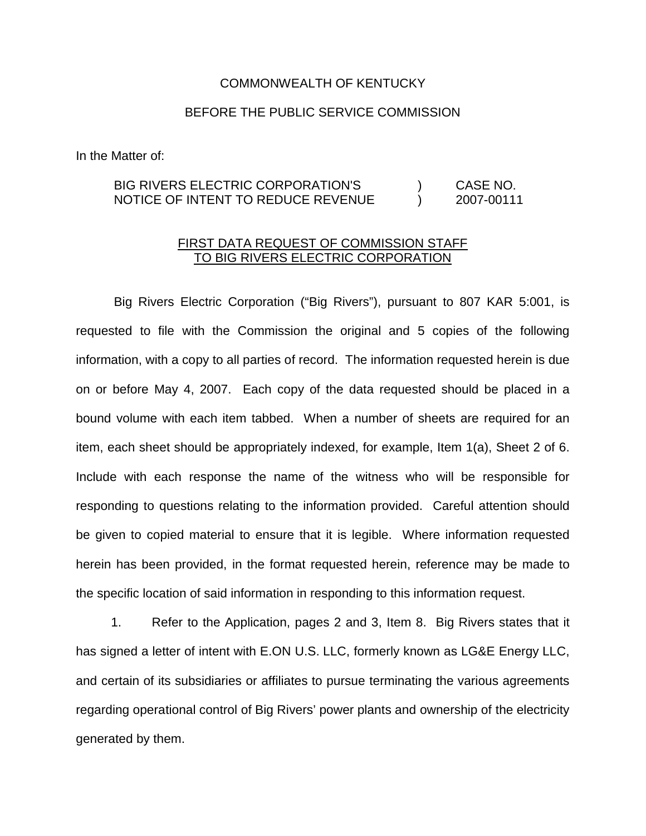## COMMONWEALTH OF KENTUCKY

## BEFORE THE PUBLIC SERVICE COMMISSION

In the Matter of:

## BIG RIVERS ELECTRIC CORPORATION'S ) CASE NO. NOTICE OF INTENT TO REDUCE REVENUE ) 2007-00111

## FIRST DATA REQUEST OF COMMISSION STAFF TO BIG RIVERS ELECTRIC CORPORATION

Big Rivers Electric Corporation ("Big Rivers"), pursuant to 807 KAR 5:001, is requested to file with the Commission the original and 5 copies of the following information, with a copy to all parties of record. The information requested herein is due on or before May 4, 2007. Each copy of the data requested should be placed in a bound volume with each item tabbed. When a number of sheets are required for an item, each sheet should be appropriately indexed, for example, Item 1(a), Sheet 2 of 6. Include with each response the name of the witness who will be responsible for responding to questions relating to the information provided. Careful attention should be given to copied material to ensure that it is legible. Where information requested herein has been provided, in the format requested herein, reference may be made to the specific location of said information in responding to this information request.

1. Refer to the Application, pages 2 and 3, Item 8. Big Rivers states that it has signed a letter of intent with E.ON U.S. LLC, formerly known as LG&E Energy LLC, and certain of its subsidiaries or affiliates to pursue terminating the various agreements regarding operational control of Big Rivers' power plants and ownership of the electricity generated by them.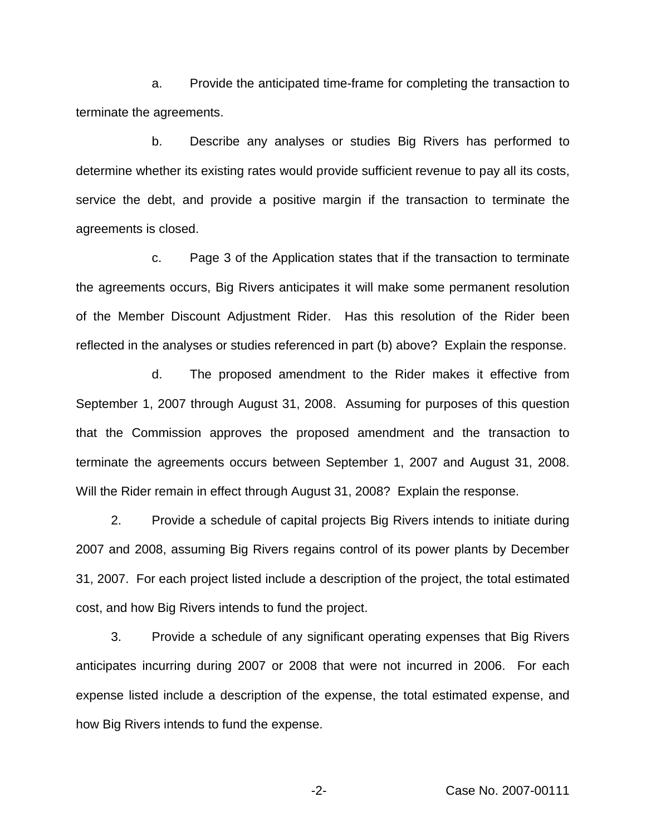a. Provide the anticipated time-frame for completing the transaction to terminate the agreements.

b. Describe any analyses or studies Big Rivers has performed to determine whether its existing rates would provide sufficient revenue to pay all its costs, service the debt, and provide a positive margin if the transaction to terminate the agreements is closed.

c. Page 3 of the Application states that if the transaction to terminate the agreements occurs, Big Rivers anticipates it will make some permanent resolution of the Member Discount Adjustment Rider. Has this resolution of the Rider been reflected in the analyses or studies referenced in part (b) above? Explain the response.

d. The proposed amendment to the Rider makes it effective from September 1, 2007 through August 31, 2008. Assuming for purposes of this question that the Commission approves the proposed amendment and the transaction to terminate the agreements occurs between September 1, 2007 and August 31, 2008. Will the Rider remain in effect through August 31, 2008? Explain the response.

2. Provide a schedule of capital projects Big Rivers intends to initiate during 2007 and 2008, assuming Big Rivers regains control of its power plants by December 31, 2007. For each project listed include a description of the project, the total estimated cost, and how Big Rivers intends to fund the project.

3. Provide a schedule of any significant operating expenses that Big Rivers anticipates incurring during 2007 or 2008 that were not incurred in 2006. For each expense listed include a description of the expense, the total estimated expense, and how Big Rivers intends to fund the expense.

-2- Case No. 2007-00111